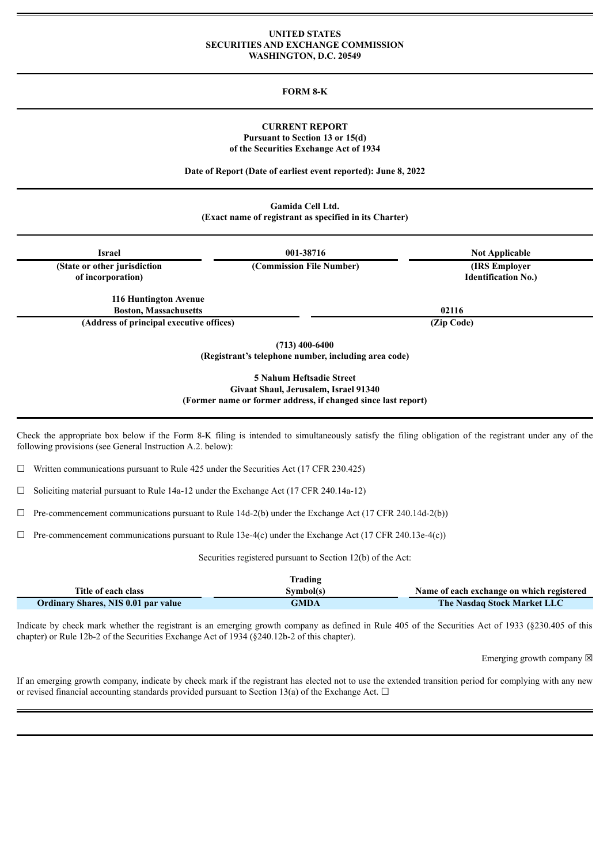## **UNITED STATES SECURITIES AND EXCHANGE COMMISSION WASHINGTON, D.C. 20549**

## **FORM 8-K**

## **CURRENT REPORT Pursuant to Section 13 or 15(d) of the Securities Exchange Act of 1934**

**Date of Report (Date of earliest event reported): June 8, 2022**

**Gamida Cell Ltd. (Exact name of registrant as specified in its Charter)**

| <b>Israel</b>                                     | 001-38716                                                                | <b>Not Applicable</b>                        |  |
|---------------------------------------------------|--------------------------------------------------------------------------|----------------------------------------------|--|
| (State or other jurisdiction<br>of incorporation) | (Commission File Number)                                                 | (IRS Employer)<br><b>Identification No.)</b> |  |
| 116 Huntington Avenue                             |                                                                          |                                              |  |
| <b>Boston, Massachusetts</b>                      |                                                                          | 02116                                        |  |
| (Address of principal executive offices)          |                                                                          | (Zip Code)                                   |  |
|                                                   | $(713)$ 400-6400<br>(Registrant's telephone number, including area code) |                                              |  |
|                                                   | 5 Nahum Heftsadie Street                                                 |                                              |  |

**Givaat Shaul, Jerusalem, Israel 91340 (Former name or former address, if changed since last report)**

Check the appropriate box below if the Form 8-K filing is intended to simultaneously satisfy the filing obligation of the registrant under any of the following provisions (see General Instruction A.2. below):

 $\Box$  Written communications pursuant to Rule 425 under the Securities Act (17 CFR 230.425)

 $\Box$  Soliciting material pursuant to Rule 14a-12 under the Exchange Act (17 CFR 240.14a-12)

☐ Pre-commencement communications pursuant to Rule 14d-2(b) under the Exchange Act (17 CFR 240.14d-2(b))

 $\Box$  Pre-commencement communications pursuant to Rule 13e-4(c) under the Exchange Act (17 CFR 240.13e-4(c))

Securities registered pursuant to Section 12(b) of the Act:

|                                     | Trading   |                                           |
|-------------------------------------|-----------|-------------------------------------------|
| Title of each class                 | Symbol(s) | Name of each exchange on which registered |
| Ordinary Shares, NIS 0.01 par value | GMDA      | <b>The Nasdaq Stock Market LLC</b>        |

Indicate by check mark whether the registrant is an emerging growth company as defined in Rule 405 of the Securities Act of 1933 (§230.405 of this chapter) or Rule 12b-2 of the Securities Exchange Act of 1934 (§240.12b-2 of this chapter).

Emerging growth company  $\boxtimes$ 

If an emerging growth company, indicate by check mark if the registrant has elected not to use the extended transition period for complying with any new or revised financial accounting standards provided pursuant to Section 13(a) of the Exchange Act.  $\Box$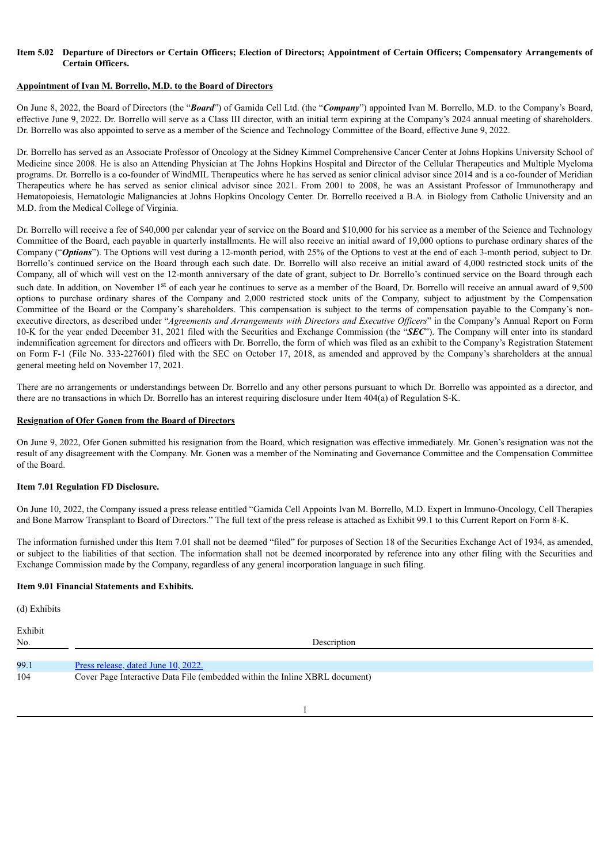# Item 5.02 Departure of Directors or Certain Officers: Election of Directors: Appointment of Certain Officers: Compensatory Arrangements of **Certain Officers.**

## **Appointment of Ivan M. Borrello, M.D. to the Board of Directors**

On June 8, 2022, the Board of Directors (the "*Board*") of Gamida Cell Ltd. (the "*Company*") appointed Ivan M. Borrello, M.D. to the Company's Board, effective June 9, 2022. Dr. Borrello will serve as a Class III director, with an initial term expiring at the Company's 2024 annual meeting of shareholders. Dr. Borrello was also appointed to serve as a member of the Science and Technology Committee of the Board, effective June 9, 2022.

Dr. Borrello has served as an Associate Professor of Oncology at the Sidney Kimmel Comprehensive Cancer Center at Johns Hopkins University School of Medicine since 2008. He is also an Attending Physician at The Johns Hopkins Hospital and Director of the Cellular Therapeutics and Multiple Myeloma programs. Dr. Borrello is a co-founder of WindMIL Therapeutics where he has served as senior clinical advisor since 2014 and is a co-founder of Meridian Therapeutics where he has served as senior clinical advisor since 2021. From 2001 to 2008, he was an Assistant Professor of Immunotherapy and Hematopoiesis, Hematologic Malignancies at Johns Hopkins Oncology Center. Dr. Borrello received a B.A. in Biology from Catholic University and an M.D. from the Medical College of Virginia.

Dr. Borrello will receive a fee of \$40,000 per calendar year of service on the Board and \$10,000 for his service as a member of the Science and Technology Committee of the Board, each payable in quarterly installments. He will also receive an initial award of 19,000 options to purchase ordinary shares of the Company ("*Options*"). The Options will vest during a 12-month period, with 25% of the Options to vest at the end of each 3-month period, subject to Dr. Borrello's continued service on the Board through each such date. Dr. Borrello will also receive an initial award of 4,000 restricted stock units of the Company, all of which will vest on the 12-month anniversary of the date of grant, subject to Dr. Borrello's continued service on the Board through each such date. In addition, on November 1<sup>st</sup> of each year he continues to serve as a member of the Board, Dr. Borrello will receive an annual award of 9,500 options to purchase ordinary shares of the Company and 2,000 restricted stock units of the Company, subject to adjustment by the Compensation Committee of the Board or the Company's shareholders. This compensation is subject to the terms of compensation payable to the Company's nonexecutive directors, as described under "*Agreements and Arrangements with Directors and Executive Of icers*" in the Company's Annual Report on Form 10-K for the year ended December 31, 2021 filed with the Securities and Exchange Commission (the "*SEC*"). The Company will enter into its standard indemnification agreement for directors and officers with Dr. Borrello, the form of which was filed as an exhibit to the Company's Registration Statement on Form F-1 (File No. 333-227601) filed with the SEC on October 17, 2018, as amended and approved by the Company's shareholders at the annual general meeting held on November 17, 2021.

There are no arrangements or understandings between Dr. Borrello and any other persons pursuant to which Dr. Borrello was appointed as a director, and there are no transactions in which Dr. Borrello has an interest requiring disclosure under Item 404(a) of Regulation S-K.

## **Resignation of Ofer Gonen from the Board of Directors**

On June 9, 2022, Ofer Gonen submitted his resignation from the Board, which resignation was effective immediately. Mr. Gonen's resignation was not the result of any disagreement with the Company. Mr. Gonen was a member of the Nominating and Governance Committee and the Compensation Committee of the Board.

#### **Item 7.01 Regulation FD Disclosure.**

On June 10, 2022, the Company issued a press release entitled "Gamida Cell Appoints Ivan M. Borrello, M.D. Expert in Immuno-Oncology, Cell Therapies and Bone Marrow Transplant to Board of Directors." The full text of the press release is attached as Exhibit 99.1 to this Current Report on Form 8-K.

The information furnished under this Item 7.01 shall not be deemed "filed" for purposes of Section 18 of the Securities Exchange Act of 1934, as amended, or subject to the liabilities of that section. The information shall not be deemed incorporated by reference into any other filing with the Securities and Exchange Commission made by the Company, regardless of any general incorporation language in such filing.

#### **Item 9.01 Financial Statements and Exhibits.**

(d) Exhibits

Exhibit No. Description 99.1 Press [release,](#page-3-0) dated June 10, 2022. 104 Cover Page Interactive Data File (embedded within the Inline XBRL document)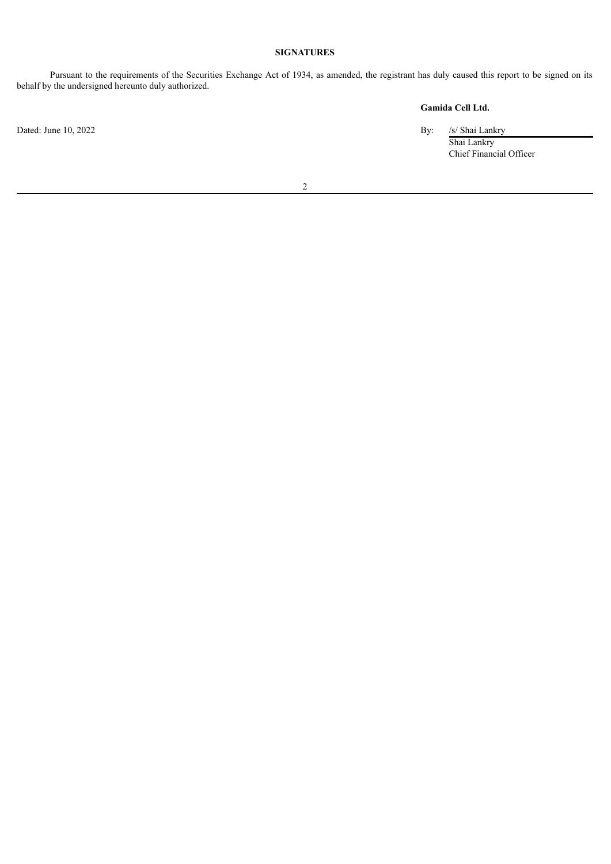# **SIGNATURES**

Pursuant to the requirements of the Securities Exchange Act of 1934, as amended, the registrant has duly caused this report to be signed on its behalf by the undersigned hereunto duly authorized.

**Gamida Cell Ltd.**

Dated: June 10, 2022 By: /s/ Shai Lankry

Shai Lankry Chief Financial Officer

2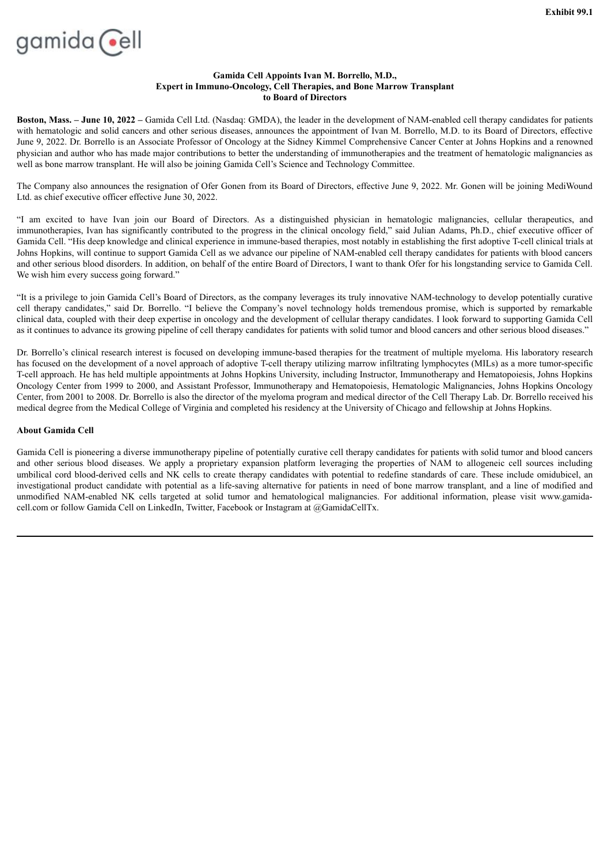<span id="page-3-0"></span>

## **Gamida Cell Appoints Ivan M. Borrello, M.D., Expert in Immuno-Oncology, Cell Therapies, and Bone Marrow Transplant to Board of Directors**

**Boston, Mass. – June 10, 2022 –** Gamida Cell Ltd. (Nasdaq: GMDA), the leader in the development of NAM-enabled cell therapy candidates for patients with hematologic and solid cancers and other serious diseases, announces the appointment of Ivan M. Borrello, M.D. to its Board of Directors, effective June 9, 2022. Dr. Borrello is an Associate Professor of Oncology at the Sidney Kimmel Comprehensive Cancer Center at Johns Hopkins and a renowned physician and author who has made major contributions to better the understanding of immunotherapies and the treatment of hematologic malignancies as well as bone marrow transplant. He will also be joining Gamida Cell's Science and Technology Committee.

The Company also announces the resignation of Ofer Gonen from its Board of Directors, effective June 9, 2022. Mr. Gonen will be joining MediWound Ltd. as chief executive officer effective June 30, 2022.

"I am excited to have Ivan join our Board of Directors. As a distinguished physician in hematologic malignancies, cellular therapeutics, and immunotherapies, Ivan has significantly contributed to the progress in the clinical oncology field," said Julian Adams, Ph.D., chief executive officer of Gamida Cell. "His deep knowledge and clinical experience in immune-based therapies, most notably in establishing the first adoptive T-cell clinical trials at Johns Hopkins, will continue to support Gamida Cell as we advance our pipeline of NAM-enabled cell therapy candidates for patients with blood cancers and other serious blood disorders. In addition, on behalf of the entire Board of Directors, I want to thank Ofer for his longstanding service to Gamida Cell. We wish him every success going forward."

"It is a privilege to join Gamida Cell's Board of Directors, as the company leverages its truly innovative NAM-technology to develop potentially curative cell therapy candidates," said Dr. Borrello. "I believe the Company's novel technology holds tremendous promise, which is supported by remarkable clinical data, coupled with their deep expertise in oncology and the development of cellular therapy candidates. I look forward to supporting Gamida Cell as it continues to advance its growing pipeline of cell therapy candidates for patients with solid tumor and blood cancers and other serious blood diseases."

Dr. Borrello's clinical research interest is focused on developing immune-based therapies for the treatment of multiple myeloma. His laboratory research has focused on the development of a novel approach of adoptive T-cell therapy utilizing marrow infiltrating lymphocytes (MILs) as a more tumor-specific T-cell approach. He has held multiple appointments at Johns Hopkins University, including Instructor, Immunotherapy and Hematopoiesis, Johns Hopkins Oncology Center from 1999 to 2000, and Assistant Professor, Immunotherapy and Hematopoiesis, Hematologic Malignancies, Johns Hopkins Oncology Center, from 2001 to 2008. Dr. Borrello is also the director of the myeloma program and medical director of the Cell Therapy Lab. Dr. Borrello received his medical degree from the Medical College of Virginia and completed his residency at the University of Chicago and fellowship at Johns Hopkins.

## **About Gamida Cell**

Gamida Cell is pioneering a diverse immunotherapy pipeline of potentially curative cell therapy candidates for patients with solid tumor and blood cancers and other serious blood diseases. We apply a proprietary expansion platform leveraging the properties of NAM to allogeneic cell sources including umbilical cord blood-derived cells and NK cells to create therapy candidates with potential to redefine standards of care. These include omidubicel, an investigational product candidate with potential as a life-saving alternative for patients in need of bone marrow transplant, and a line of modified and unmodified NAM-enabled NK cells targeted at solid tumor and hematological malignancies. For additional information, please visit www.gamidacell.com or follow Gamida Cell on LinkedIn, Twitter, Facebook or Instagram at @GamidaCellTx.